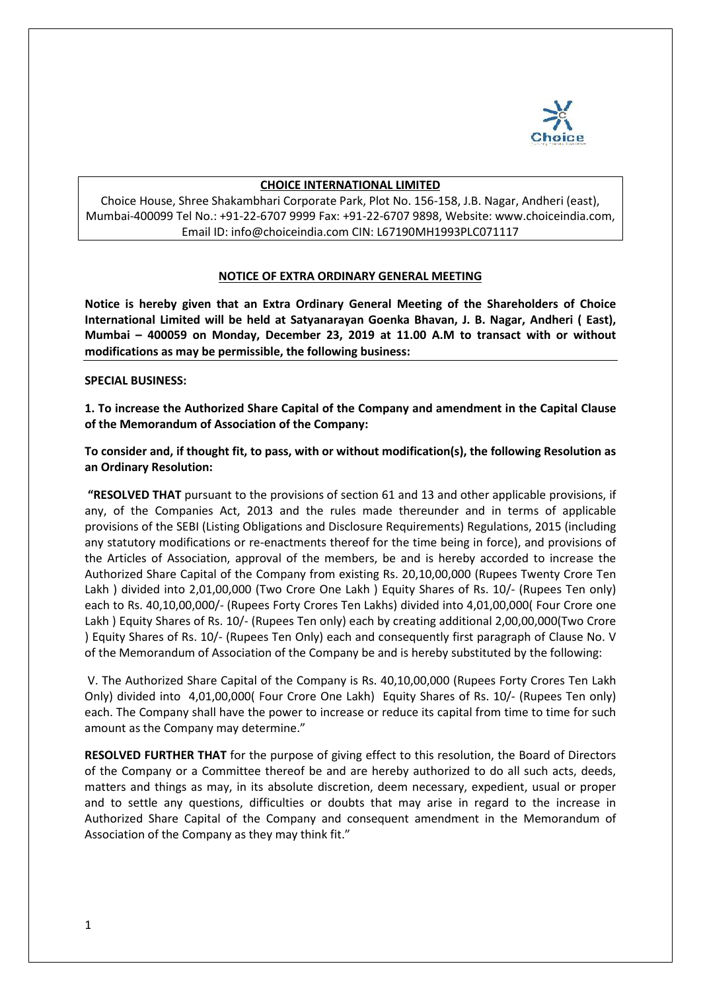

#### **CHOICE INTERNATIONAL LIMITED**

Choice House, Shree Shakambhari Corporate Park, Plot No. 156-158, J.B. Nagar, Andheri (east), Mumbai-400099 Tel No.: +91-22-6707 9999 Fax: +91-22-6707 9898, Website: www.choiceindia.com, Email ID: info@choiceindia.com CIN: L67190MH1993PLC071117

#### **NOTICE OF EXTRA ORDINARY GENERAL MEETING**

**Notice is hereby given that an Extra Ordinary General Meeting of the Shareholders of Choice International Limited will be held at Satyanarayan Goenka Bhavan, J. B. Nagar, Andheri ( East), Mumbai – 400059 on Monday, December 23, 2019 at 11.00 A.M to transact with or without modifications as may be permissible, the following business:** 

#### **SPECIAL BUSINESS:**

**1. To increase the Authorized Share Capital of the Company and amendment in the Capital Clause of the Memorandum of Association of the Company:** 

**To consider and, if thought fit, to pass, with or without modification(s), the following Resolution as an Ordinary Resolution:**

**"RESOLVED THAT** pursuant to the provisions of section 61 and 13 and other applicable provisions, if any, of the Companies Act, 2013 and the rules made thereunder and in terms of applicable provisions of the SEBI (Listing Obligations and Disclosure Requirements) Regulations, 2015 (including any statutory modifications or re-enactments thereof for the time being in force), and provisions of the Articles of Association, approval of the members, be and is hereby accorded to increase the Authorized Share Capital of the Company from existing Rs. 20,10,00,000 (Rupees Twenty Crore Ten Lakh ) divided into 2,01,00,000 (Two Crore One Lakh ) Equity Shares of Rs. 10/- (Rupees Ten only) each to Rs. 40,10,00,000/- (Rupees Forty Crores Ten Lakhs) divided into 4,01,00,000( Four Crore one Lakh ) Equity Shares of Rs. 10/- (Rupees Ten only) each by creating additional 2,00,00,000(Two Crore ) Equity Shares of Rs. 10/- (Rupees Ten Only) each and consequently first paragraph of Clause No. V of the Memorandum of Association of the Company be and is hereby substituted by the following:

V. The Authorized Share Capital of the Company is Rs. 40,10,00,000 (Rupees Forty Crores Ten Lakh Only) divided into 4,01,00,000( Four Crore One Lakh) Equity Shares of Rs. 10/- (Rupees Ten only) each. The Company shall have the power to increase or reduce its capital from time to time for such amount as the Company may determine."

**RESOLVED FURTHER THAT** for the purpose of giving effect to this resolution, the Board of Directors of the Company or a Committee thereof be and are hereby authorized to do all such acts, deeds, matters and things as may, in its absolute discretion, deem necessary, expedient, usual or proper and to settle any questions, difficulties or doubts that may arise in regard to the increase in Authorized Share Capital of the Company and consequent amendment in the Memorandum of Association of the Company as they may think fit."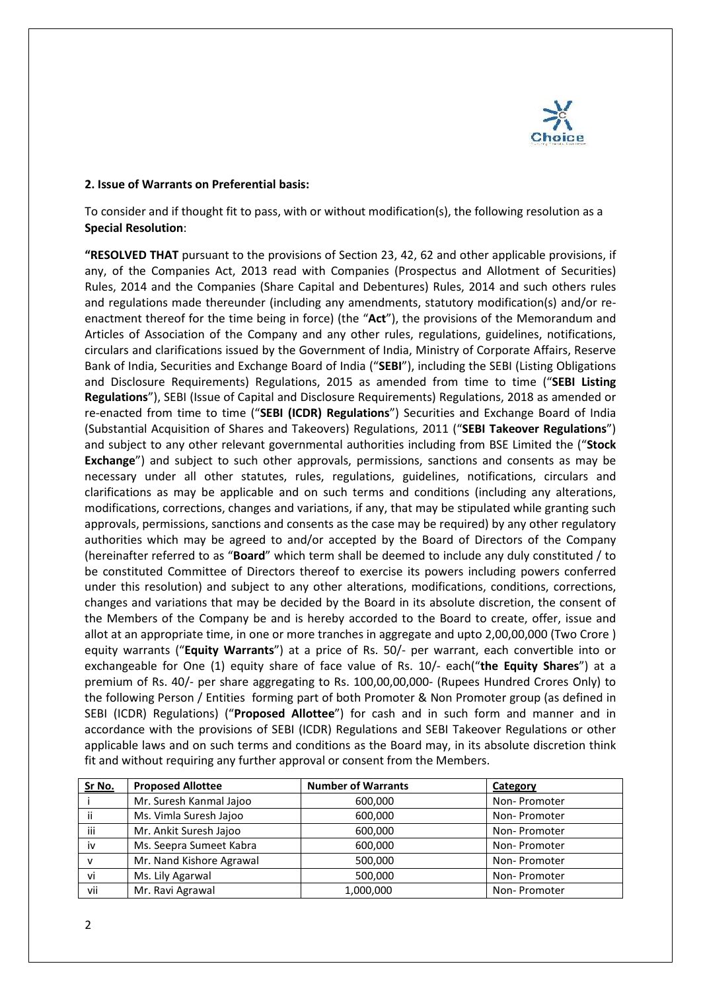

#### **2. Issue of Warrants on Preferential basis:**

To consider and if thought fit to pass, with or without modification(s), the following resolution as a **Special Resolution**:

**"RESOLVED THAT** pursuant to the provisions of Section 23, 42, 62 and other applicable provisions, if any, of the Companies Act, 2013 read with Companies (Prospectus and Allotment of Securities) Rules, 2014 and the Companies (Share Capital and Debentures) Rules, 2014 and such others rules and regulations made thereunder (including any amendments, statutory modification(s) and/or reenactment thereof for the time being in force) (the "**Act**"), the provisions of the Memorandum and Articles of Association of the Company and any other rules, regulations, guidelines, notifications, circulars and clarifications issued by the Government of India, Ministry of Corporate Affairs, Reserve Bank of India, Securities and Exchange Board of India ("**SEBI**"), including the SEBI (Listing Obligations and Disclosure Requirements) Regulations, 2015 as amended from time to time ("**SEBI Listing Regulations**"), SEBI (Issue of Capital and Disclosure Requirements) Regulations, 2018 as amended or re-enacted from time to time ("**SEBI (ICDR) Regulations**") Securities and Exchange Board of India (Substantial Acquisition of Shares and Takeovers) Regulations, 2011 ("**SEBI Takeover Regulations**") and subject to any other relevant governmental authorities including from BSE Limited the ("**Stock Exchange**") and subject to such other approvals, permissions, sanctions and consents as may be necessary under all other statutes, rules, regulations, guidelines, notifications, circulars and clarifications as may be applicable and on such terms and conditions (including any alterations, modifications, corrections, changes and variations, if any, that may be stipulated while granting such approvals, permissions, sanctions and consents as the case may be required) by any other regulatory authorities which may be agreed to and/or accepted by the Board of Directors of the Company (hereinafter referred to as "**Board**" which term shall be deemed to include any duly constituted / to be constituted Committee of Directors thereof to exercise its powers including powers conferred under this resolution) and subject to any other alterations, modifications, conditions, corrections, changes and variations that may be decided by the Board in its absolute discretion, the consent of the Members of the Company be and is hereby accorded to the Board to create, offer, issue and allot at an appropriate time, in one or more tranches in aggregate and upto 2,00,00,000 (Two Crore ) equity warrants ("**Equity Warrants**") at a price of Rs. 50/- per warrant, each convertible into or exchangeable for One (1) equity share of face value of Rs. 10/- each("**the Equity Shares**") at a premium of Rs. 40/- per share aggregating to Rs. 100,00,00,000- (Rupees Hundred Crores Only) to the following Person / Entities forming part of both Promoter & Non Promoter group (as defined in SEBI (ICDR) Regulations) ("**Proposed Allottee**") for cash and in such form and manner and in accordance with the provisions of SEBI (ICDR) Regulations and SEBI Takeover Regulations or other applicable laws and on such terms and conditions as the Board may, in its absolute discretion think fit and without requiring any further approval or consent from the Members.

| Sr No.       | <b>Proposed Allottee</b> | <b>Number of Warrants</b> | <b>Category</b> |
|--------------|--------------------------|---------------------------|-----------------|
|              | Mr. Suresh Kanmal Jajoo  | 600,000                   | Non-Promoter    |
| ii           | Ms. Vimla Suresh Jajoo   | 600,000                   | Non-Promoter    |
| iii          | Mr. Ankit Suresh Jajoo   | 600,000                   | Non-Promoter    |
| iv           | Ms. Seepra Sumeet Kabra  | 600,000                   | Non-Promoter    |
| $\mathsf{v}$ | Mr. Nand Kishore Agrawal | 500,000                   | Non-Promoter    |
| vi           | Ms. Lily Agarwal         | 500,000                   | Non-Promoter    |
| vii          | Mr. Ravi Agrawal         | 1,000,000                 | Non-Promoter    |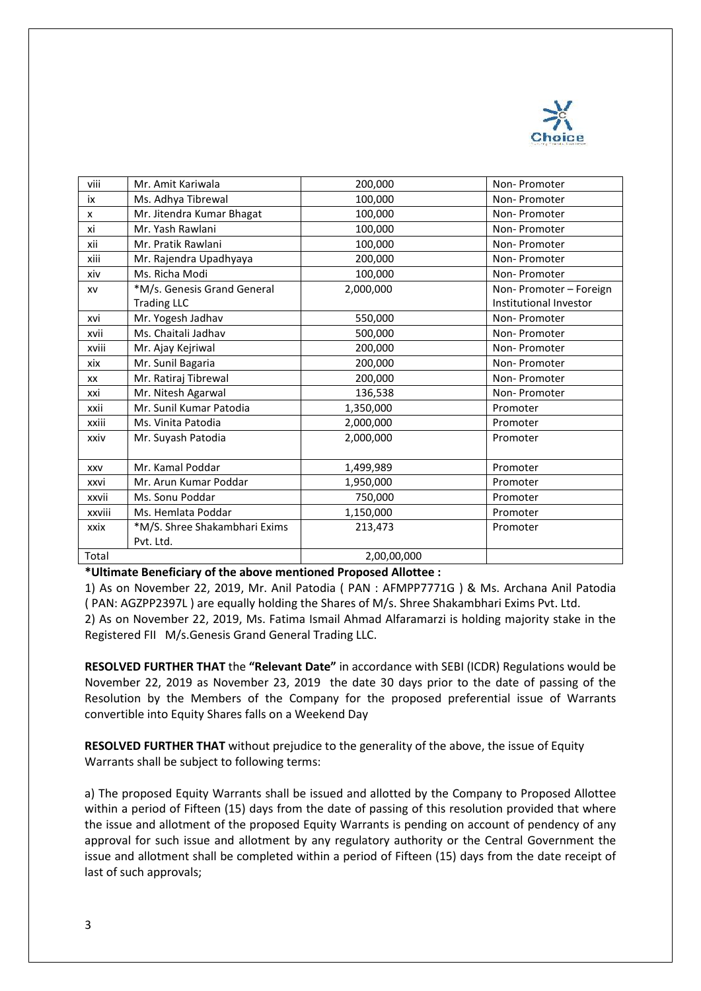

| viii       | Mr. Amit Kariwala                                 | 200,000     | Non-Promoter                                      |
|------------|---------------------------------------------------|-------------|---------------------------------------------------|
| iх         | Ms. Adhya Tibrewal                                | 100,000     | Non-Promoter                                      |
| x          | Mr. Jitendra Kumar Bhagat                         | 100,000     | Non-Promoter                                      |
| xi         | Mr. Yash Rawlani                                  | 100,000     | Non-Promoter                                      |
| xii        | Mr. Pratik Rawlani                                | 100,000     | Non-Promoter                                      |
| xiii       | Mr. Rajendra Upadhyaya                            | 200,000     | Non-Promoter                                      |
| xiv        | Ms. Richa Modi                                    | 100,000     | Non-Promoter                                      |
| XV         | *M/s. Genesis Grand General<br><b>Trading LLC</b> | 2,000,000   | Non- Promoter - Foreign<br>Institutional Investor |
| xvi        | Mr. Yogesh Jadhav                                 | 550,000     | Non-Promoter                                      |
| xvii       | Ms. Chaitali Jadhav                               | 500,000     | Non-Promoter                                      |
| xviii      | Mr. Ajay Kejriwal                                 | 200,000     | Non-Promoter                                      |
| xix        | Mr. Sunil Bagaria                                 | 200,000     | Non-Promoter                                      |
| XX         | Mr. Ratiraj Tibrewal                              | 200,000     | Non-Promoter                                      |
| xxi        | Mr. Nitesh Agarwal                                | 136,538     | Non-Promoter                                      |
| xxii       | Mr. Sunil Kumar Patodia                           | 1,350,000   | Promoter                                          |
| xxiii      | Ms. Vinita Patodia                                | 2,000,000   | Promoter                                          |
| xxiv       | Mr. Suyash Patodia                                | 2,000,000   | Promoter                                          |
| <b>XXV</b> | Mr. Kamal Poddar                                  | 1,499,989   | Promoter                                          |
| xxvi       | Mr. Arun Kumar Poddar                             | 1,950,000   | Promoter                                          |
| xxvii      | Ms. Sonu Poddar                                   | 750,000     | Promoter                                          |
| xxviii     | Ms. Hemlata Poddar                                | 1,150,000   | Promoter                                          |
| xxix       | *M/S. Shree Shakambhari Exims                     | 213,473     | Promoter                                          |
|            | Pvt. Ltd.                                         |             |                                                   |
| Total      |                                                   | 2,00,00,000 |                                                   |

**\*Ultimate Beneficiary of the above mentioned Proposed Allottee :**

1) As on November 22, 2019, Mr. Anil Patodia ( PAN : AFMPP7771G ) & Ms. Archana Anil Patodia ( PAN: AGZPP2397L ) are equally holding the Shares of M/s. Shree Shakambhari Exims Pvt. Ltd.

2) As on November 22, 2019, Ms. Fatima Ismail Ahmad Alfaramarzi is holding majority stake in the Registered FII M/s.Genesis Grand General Trading LLC.

**RESOLVED FURTHER THAT** the **"Relevant Date"** in accordance with SEBI (ICDR) Regulations would be November 22, 2019 as November 23, 2019 the date 30 days prior to the date of passing of the Resolution by the Members of the Company for the proposed preferential issue of Warrants convertible into Equity Shares falls on a Weekend Day

**RESOLVED FURTHER THAT** without prejudice to the generality of the above, the issue of Equity Warrants shall be subject to following terms:

a) The proposed Equity Warrants shall be issued and allotted by the Company to Proposed Allottee within a period of Fifteen (15) days from the date of passing of this resolution provided that where the issue and allotment of the proposed Equity Warrants is pending on account of pendency of any approval for such issue and allotment by any regulatory authority or the Central Government the issue and allotment shall be completed within a period of Fifteen (15) days from the date receipt of last of such approvals;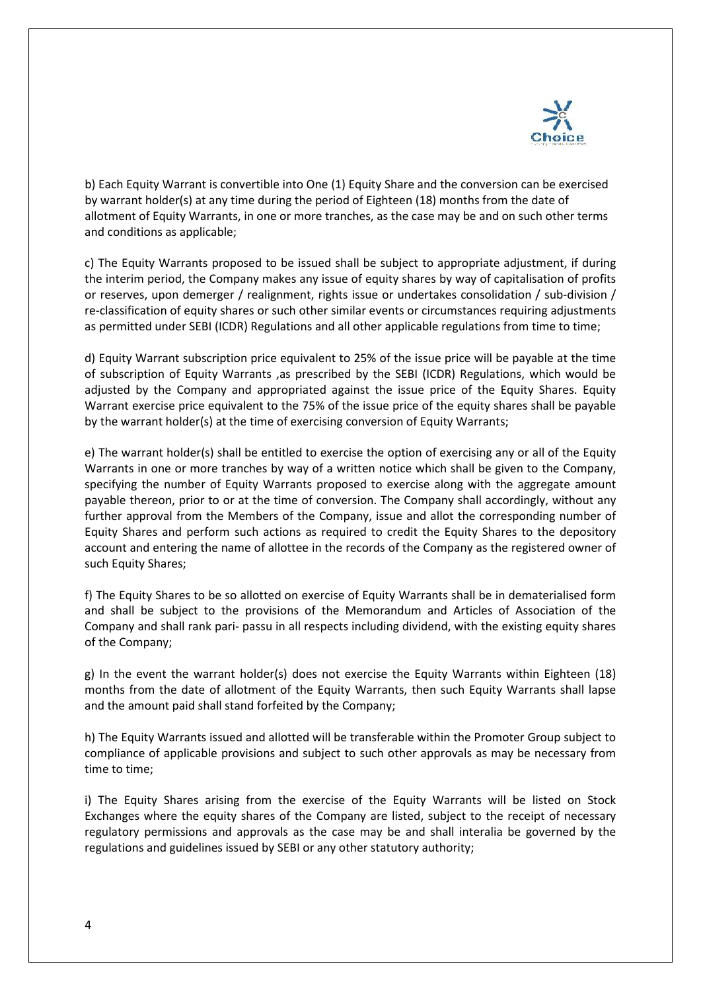

b) Each Equity Warrant is convertible into One (1) Equity Share and the conversion can be exercised by warrant holder(s) at any time during the period of Eighteen (18) months from the date of allotment of Equity Warrants, in one or more tranches, as the case may be and on such other terms and conditions as applicable;

c) The Equity Warrants proposed to be issued shall be subject to appropriate adjustment, if during the interim period, the Company makes any issue of equity shares by way of capitalisation of profits or reserves, upon demerger / realignment, rights issue or undertakes consolidation / sub-division / re-classification of equity shares or such other similar events or circumstances requiring adjustments as permitted under SEBI (ICDR) Regulations and all other applicable regulations from time to time;

d) Equity Warrant subscription price equivalent to 25% of the issue price will be payable at the time of subscription of Equity Warrants ,as prescribed by the SEBI (ICDR) Regulations, which would be adjusted by the Company and appropriated against the issue price of the Equity Shares. Equity Warrant exercise price equivalent to the 75% of the issue price of the equity shares shall be payable by the warrant holder(s) at the time of exercising conversion of Equity Warrants;

e) The warrant holder(s) shall be entitled to exercise the option of exercising any or all of the Equity Warrants in one or more tranches by way of a written notice which shall be given to the Company, specifying the number of Equity Warrants proposed to exercise along with the aggregate amount payable thereon, prior to or at the time of conversion. The Company shall accordingly, without any further approval from the Members of the Company, issue and allot the corresponding number of Equity Shares and perform such actions as required to credit the Equity Shares to the depository account and entering the name of allottee in the records of the Company as the registered owner of such Equity Shares;

f) The Equity Shares to be so allotted on exercise of Equity Warrants shall be in dematerialised form and shall be subject to the provisions of the Memorandum and Articles of Association of the Company and shall rank pari- passu in all respects including dividend, with the existing equity shares of the Company;

g) In the event the warrant holder(s) does not exercise the Equity Warrants within Eighteen (18) months from the date of allotment of the Equity Warrants, then such Equity Warrants shall lapse and the amount paid shall stand forfeited by the Company;

h) The Equity Warrants issued and allotted will be transferable within the Promoter Group subject to compliance of applicable provisions and subject to such other approvals as may be necessary from time to time;

i) The Equity Shares arising from the exercise of the Equity Warrants will be listed on Stock Exchanges where the equity shares of the Company are listed, subject to the receipt of necessary regulatory permissions and approvals as the case may be and shall interalia be governed by the regulations and guidelines issued by SEBI or any other statutory authority;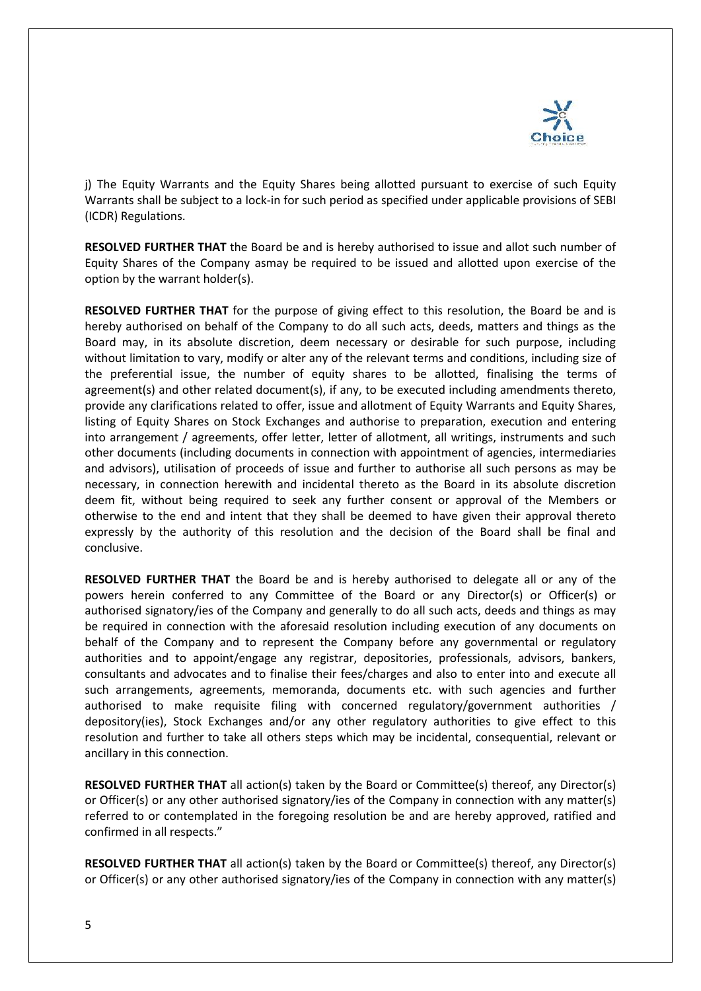

j) The Equity Warrants and the Equity Shares being allotted pursuant to exercise of such Equity Warrants shall be subject to a lock-in for such period as specified under applicable provisions of SEBI (ICDR) Regulations.

**RESOLVED FURTHER THAT** the Board be and is hereby authorised to issue and allot such number of Equity Shares of the Company asmay be required to be issued and allotted upon exercise of the option by the warrant holder(s).

**RESOLVED FURTHER THAT** for the purpose of giving effect to this resolution, the Board be and is hereby authorised on behalf of the Company to do all such acts, deeds, matters and things as the Board may, in its absolute discretion, deem necessary or desirable for such purpose, including without limitation to vary, modify or alter any of the relevant terms and conditions, including size of the preferential issue, the number of equity shares to be allotted, finalising the terms of agreement(s) and other related document(s), if any, to be executed including amendments thereto, provide any clarifications related to offer, issue and allotment of Equity Warrants and Equity Shares, listing of Equity Shares on Stock Exchanges and authorise to preparation, execution and entering into arrangement / agreements, offer letter, letter of allotment, all writings, instruments and such other documents (including documents in connection with appointment of agencies, intermediaries and advisors), utilisation of proceeds of issue and further to authorise all such persons as may be necessary, in connection herewith and incidental thereto as the Board in its absolute discretion deem fit, without being required to seek any further consent or approval of the Members or otherwise to the end and intent that they shall be deemed to have given their approval thereto expressly by the authority of this resolution and the decision of the Board shall be final and conclusive.

**RESOLVED FURTHER THAT** the Board be and is hereby authorised to delegate all or any of the powers herein conferred to any Committee of the Board or any Director(s) or Officer(s) or authorised signatory/ies of the Company and generally to do all such acts, deeds and things as may be required in connection with the aforesaid resolution including execution of any documents on behalf of the Company and to represent the Company before any governmental or regulatory authorities and to appoint/engage any registrar, depositories, professionals, advisors, bankers, consultants and advocates and to finalise their fees/charges and also to enter into and execute all such arrangements, agreements, memoranda, documents etc. with such agencies and further authorised to make requisite filing with concerned regulatory/government authorities / depository(ies), Stock Exchanges and/or any other regulatory authorities to give effect to this resolution and further to take all others steps which may be incidental, consequential, relevant or ancillary in this connection.

**RESOLVED FURTHER THAT** all action(s) taken by the Board or Committee(s) thereof, any Director(s) or Officer(s) or any other authorised signatory/ies of the Company in connection with any matter(s) referred to or contemplated in the foregoing resolution be and are hereby approved, ratified and confirmed in all respects."

**RESOLVED FURTHER THAT** all action(s) taken by the Board or Committee(s) thereof, any Director(s) or Officer(s) or any other authorised signatory/ies of the Company in connection with any matter(s)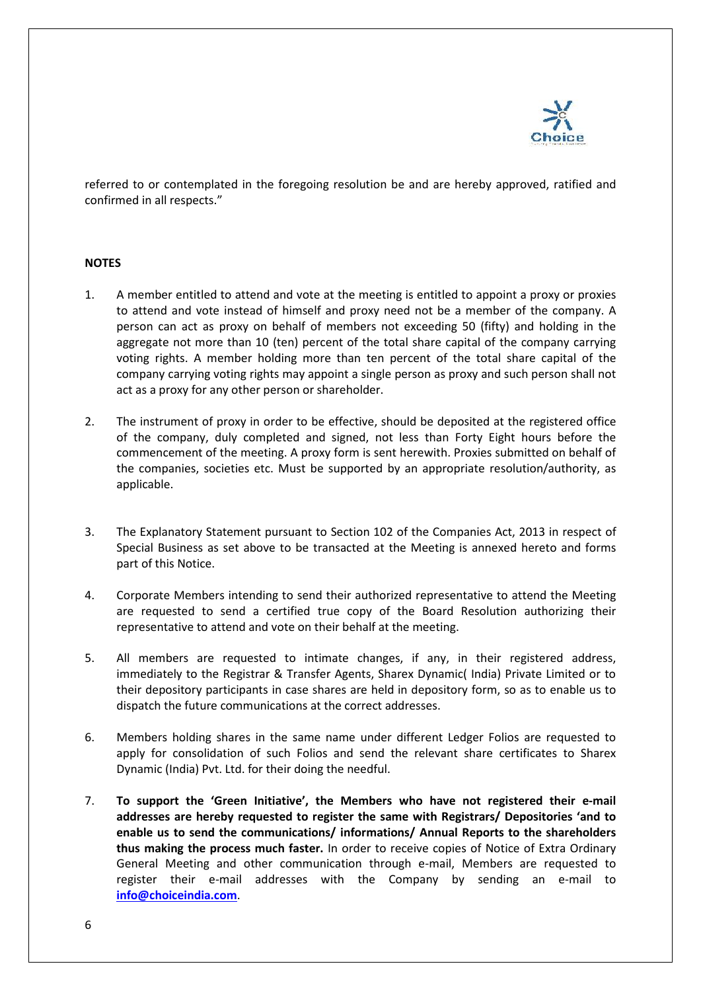

referred to or contemplated in the foregoing resolution be and are hereby approved, ratified and confirmed in all respects."

#### **NOTES**

- 1. A member entitled to attend and vote at the meeting is entitled to appoint a proxy or proxies to attend and vote instead of himself and proxy need not be a member of the company. A person can act as proxy on behalf of members not exceeding 50 (fifty) and holding in the aggregate not more than 10 (ten) percent of the total share capital of the company carrying voting rights. A member holding more than ten percent of the total share capital of the company carrying voting rights may appoint a single person as proxy and such person shall not act as a proxy for any other person or shareholder.
- 2. The instrument of proxy in order to be effective, should be deposited at the registered office of the company, duly completed and signed, not less than Forty Eight hours before the commencement of the meeting. A proxy form is sent herewith. Proxies submitted on behalf of the companies, societies etc. Must be supported by an appropriate resolution/authority, as applicable.
- 3. The Explanatory Statement pursuant to Section 102 of the Companies Act, 2013 in respect of Special Business as set above to be transacted at the Meeting is annexed hereto and forms part of this Notice.
- 4. Corporate Members intending to send their authorized representative to attend the Meeting are requested to send a certified true copy of the Board Resolution authorizing their representative to attend and vote on their behalf at the meeting.
- 5. All members are requested to intimate changes, if any, in their registered address, immediately to the Registrar & Transfer Agents, Sharex Dynamic( India) Private Limited or to their depository participants in case shares are held in depository form, so as to enable us to dispatch the future communications at the correct addresses.
- 6. Members holding shares in the same name under different Ledger Folios are requested to apply for consolidation of such Folios and send the relevant share certificates to Sharex Dynamic (India) Pvt. Ltd. for their doing the needful.
- 7. **To support the 'Green Initiative', the Members who have not registered their e-mail addresses are hereby requested to register the same with Registrars/ Depositories 'and to enable us to send the communications/ informations/ Annual Reports to the shareholders thus making the process much faster.** In order to receive copies of Notice of Extra Ordinary General Meeting and other communication through e-mail, Members are requested to register their e-mail addresses with the Company by sending an e-mail to **[info@choiceindia.com](mailto:info@choiceindia.com)**.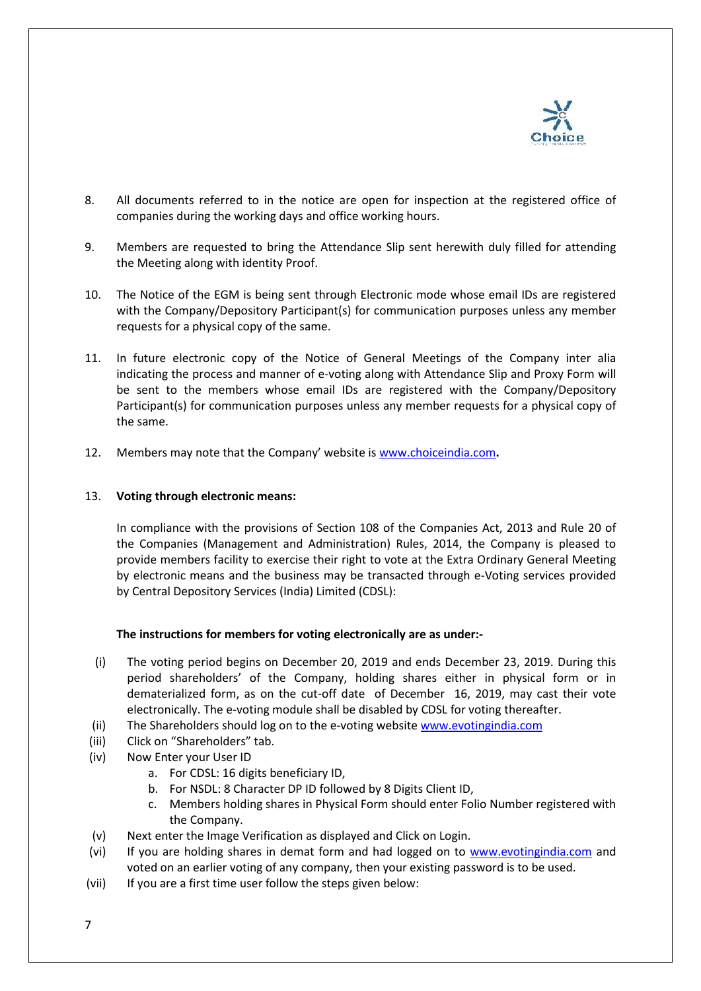

- 8. All documents referred to in the notice are open for inspection at the registered office of companies during the working days and office working hours.
- 9. Members are requested to bring the Attendance Slip sent herewith duly filled for attending the Meeting along with identity Proof.
- 10. The Notice of the EGM is being sent through Electronic mode whose email IDs are registered with the Company/Depository Participant(s) for communication purposes unless any member requests for a physical copy of the same.
- 11. In future electronic copy of the Notice of General Meetings of the Company inter alia indicating the process and manner of e-voting along with Attendance Slip and Proxy Form will be sent to the members whose email IDs are registered with the Company/Depository Participant(s) for communication purposes unless any member requests for a physical copy of the same.
- 12. Members may note that the Company' website is [www.choiceindia.com](http://www.choiceindia.com/)**.**

# 13. **Voting through electronic means:**

In compliance with the provisions of Section 108 of the Companies Act, 2013 and Rule 20 of the Companies (Management and Administration) Rules, 2014, the Company is pleased to provide members facility to exercise their right to vote at the Extra Ordinary General Meeting by electronic means and the business may be transacted through e-Voting services provided by Central Depository Services (India) Limited (CDSL):

# **The instructions for members for voting electronically are as under:-**

- (i) The voting period begins on December 20, 2019 and ends December 23, 2019. During this period shareholders' of the Company, holding shares either in physical form or in dematerialized form, as on the cut-off date of December 16, 2019, may cast their vote electronically. The e-voting module shall be disabled by CDSL for voting thereafter.
- (ii) The Shareholders should log on to the e-voting website [www.evotingindia.com](http://www.evotingindia.com/)
- (iii) Click on "Shareholders" tab.
- (iv) Now Enter your User ID
	- a. For CDSL: 16 digits beneficiary ID,
	- b. For NSDL: 8 Character DP ID followed by 8 Digits Client ID,
	- c. Members holding shares in Physical Form should enter Folio Number registered with the Company.
- (v) Next enter the Image Verification as displayed and Click on Login.
- (vi) If you are holding shares in demat form and had logged on to [www.evotingindia.com](http://www.evotingindia.com/) and voted on an earlier voting of any company, then your existing password is to be used.
- (vii) If you are a first time user follow the steps given below: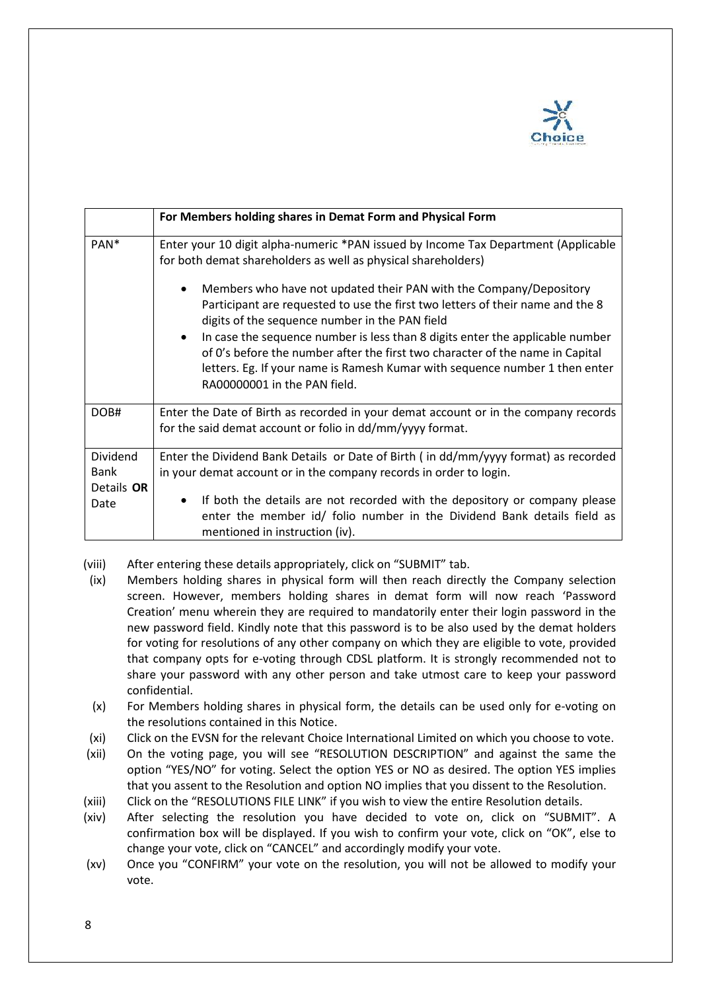

|                                | For Members holding shares in Demat Form and Physical Form                                                                                                                                                                                                                    |
|--------------------------------|-------------------------------------------------------------------------------------------------------------------------------------------------------------------------------------------------------------------------------------------------------------------------------|
| PAN <sup>*</sup>               | Enter your 10 digit alpha-numeric *PAN issued by Income Tax Department (Applicable<br>for both demat shareholders as well as physical shareholders)                                                                                                                           |
|                                | Members who have not updated their PAN with the Company/Depository<br>Participant are requested to use the first two letters of their name and the 8<br>digits of the sequence number in the PAN field                                                                        |
|                                | In case the sequence number is less than 8 digits enter the applicable number<br>of 0's before the number after the first two character of the name in Capital<br>letters. Eg. If your name is Ramesh Kumar with sequence number 1 then enter<br>RA00000001 in the PAN field. |
| DOB#                           | Enter the Date of Birth as recorded in your demat account or in the company records<br>for the said demat account or folio in dd/mm/yyyy format.                                                                                                                              |
| Dividend<br>Bank<br>Details OR | Enter the Dividend Bank Details or Date of Birth (in dd/mm/yyyy format) as recorded<br>in your demat account or in the company records in order to login.                                                                                                                     |
| Date                           | If both the details are not recorded with the depository or company please<br>enter the member id/ folio number in the Dividend Bank details field as<br>mentioned in instruction (iv).                                                                                       |

- (viii) After entering these details appropriately, click on "SUBMIT" tab.
- (ix) Members holding shares in physical form will then reach directly the Company selection screen. However, members holding shares in demat form will now reach 'Password Creation' menu wherein they are required to mandatorily enter their login password in the new password field. Kindly note that this password is to be also used by the demat holders for voting for resolutions of any other company on which they are eligible to vote, provided that company opts for e-voting through CDSL platform. It is strongly recommended not to share your password with any other person and take utmost care to keep your password confidential.
- (x) For Members holding shares in physical form, the details can be used only for e-voting on the resolutions contained in this Notice.
- (xi) Click on the EVSN for the relevant Choice International Limited on which you choose to vote.
- (xii) On the voting page, you will see "RESOLUTION DESCRIPTION" and against the same the option "YES/NO" for voting. Select the option YES or NO as desired. The option YES implies that you assent to the Resolution and option NO implies that you dissent to the Resolution.
- (xiii) Click on the "RESOLUTIONS FILE LINK" if you wish to view the entire Resolution details.
- (xiv) After selecting the resolution you have decided to vote on, click on "SUBMIT". A confirmation box will be displayed. If you wish to confirm your vote, click on "OK", else to change your vote, click on "CANCEL" and accordingly modify your vote.
- (xv) Once you "CONFIRM" your vote on the resolution, you will not be allowed to modify your vote.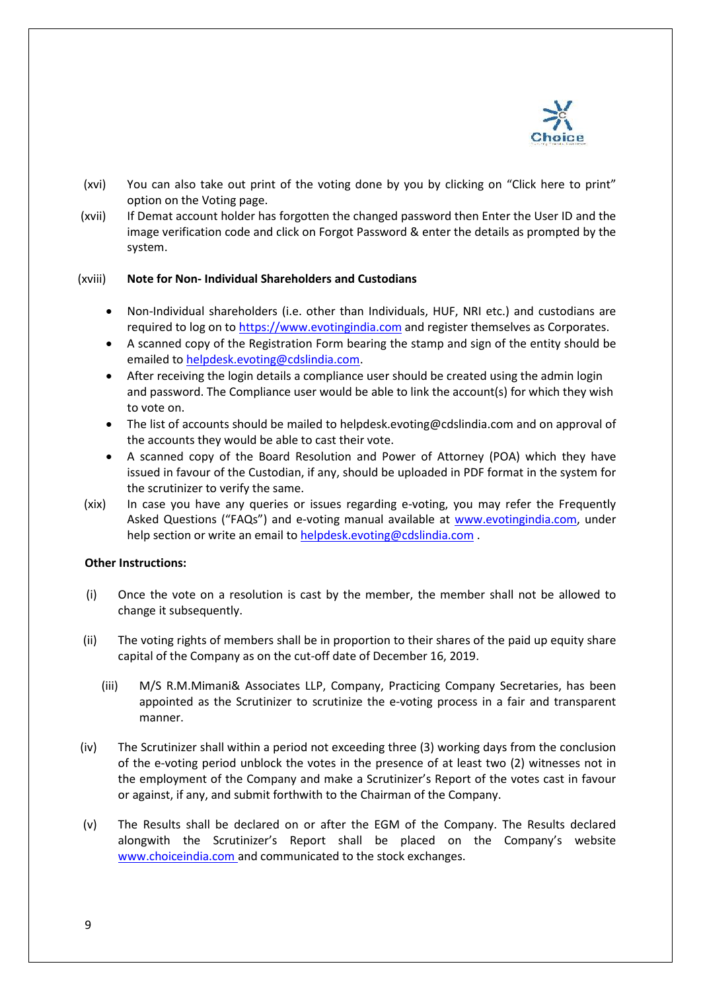

- (xvi) You can also take out print of the voting done by you by clicking on "Click here to print" option on the Voting page.
- (xvii) If Demat account holder has forgotten the changed password then Enter the User ID and the image verification code and click on Forgot Password & enter the details as prompted by the system.

#### (xviii) **Note for Non- Individual Shareholders and Custodians**

- Non-Individual shareholders (i.e. other than Individuals, HUF, NRI etc.) and custodians are required to log on to [https://www.evotingindia.com](https://www.evotingindia.com/) and register themselves as Corporates.
- A scanned copy of the Registration Form bearing the stamp and sign of the entity should be emailed to [helpdesk.evoting@cdslindia.com.](mailto:helpdesk.evoting@cdslindia.com)
- After receiving the login details a compliance user should be created using the admin login and password. The Compliance user would be able to link the account(s) for which they wish to vote on.
- The list of accounts should be mailed to helpdesk.evoting@cdslindia.com and on approval of the accounts they would be able to cast their vote.
- A scanned copy of the Board Resolution and Power of Attorney (POA) which they have issued in favour of the Custodian, if any, should be uploaded in PDF format in the system for the scrutinizer to verify the same.
- (xix) In case you have any queries or issues regarding e-voting, you may refer the Frequently Asked Questions ("FAQs") and e-voting manual available at [www.evotingindia.com,](http://www.evotingindia.com/) under help section or write an email to [helpdesk.evoting@cdslindia.com](mailto:helpdesk.evoting@cdslindia.com).

#### **Other Instructions:**

- (i) Once the vote on a resolution is cast by the member, the member shall not be allowed to change it subsequently.
- (ii) The voting rights of members shall be in proportion to their shares of the paid up equity share capital of the Company as on the cut-off date of December 16, 2019.
	- (iii) M/S R.M.Mimani& Associates LLP, Company, Practicing Company Secretaries, has been appointed as the Scrutinizer to scrutinize the e-voting process in a fair and transparent manner.
- (iv) The Scrutinizer shall within a period not exceeding three (3) working days from the conclusion of the e-voting period unblock the votes in the presence of at least two (2) witnesses not in the employment of the Company and make a Scrutinizer's Report of the votes cast in favour or against, if any, and submit forthwith to the Chairman of the Company.
- (v) The Results shall be declared on or after the EGM of the Company. The Results declared alongwith the Scrutinizer's Report shall be placed on the Company's website [www.choiceindia.com](http://www.choiceindia.com/) and communicated to the stock exchanges.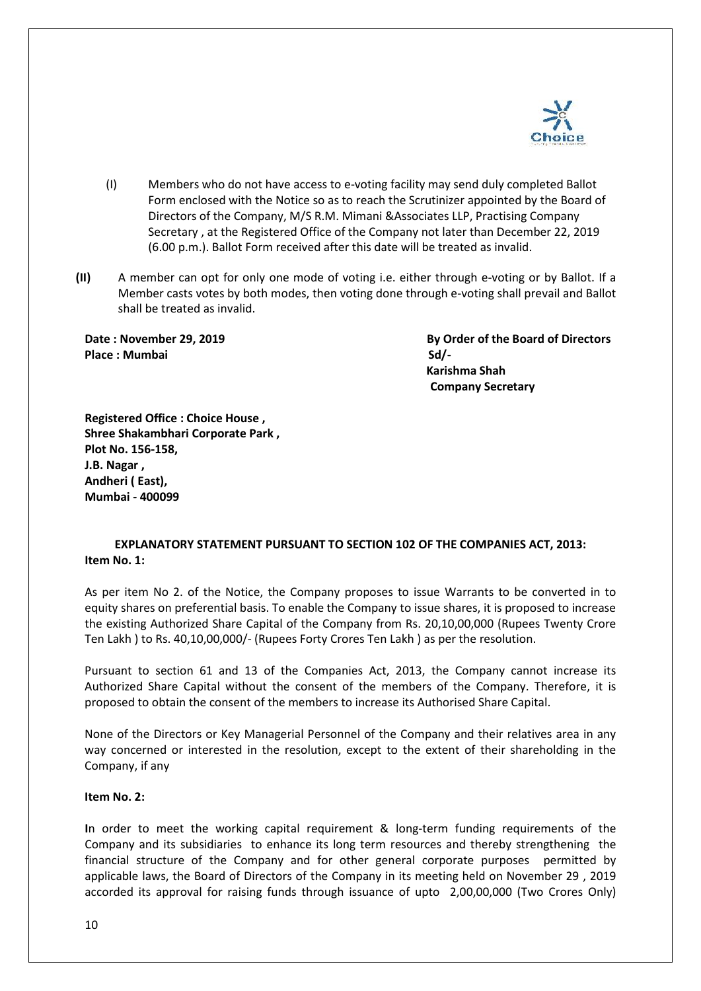

- (I) Members who do not have access to e-voting facility may send duly completed Ballot Form enclosed with the Notice so as to reach the Scrutinizer appointed by the Board of Directors of the Company, M/S R.M. Mimani &Associates LLP, Practising Company Secretary , at the Registered Office of the Company not later than December 22, 2019 (6.00 p.m.). Ballot Form received after this date will be treated as invalid.
- **(II)** A member can opt for only one mode of voting i.e. either through e-voting or by Ballot. If a Member casts votes by both modes, then voting done through e-voting shall prevail and Ballot shall be treated as invalid.

Place : Mumbai Sd/-

**Date : November 29, 2019 By Order of the Board of Directors Karishma Shah Company Secretary** 

**Registered Office : Choice House , Shree Shakambhari Corporate Park , Plot No. 156-158, J.B. Nagar , Andheri ( East), Mumbai - 400099**

# **EXPLANATORY STATEMENT PURSUANT TO SECTION 102 OF THE COMPANIES ACT, 2013: Item No. 1:**

As per item No 2. of the Notice, the Company proposes to issue Warrants to be converted in to equity shares on preferential basis. To enable the Company to issue shares, it is proposed to increase the existing Authorized Share Capital of the Company from Rs. 20,10,00,000 (Rupees Twenty Crore Ten Lakh ) to Rs. 40,10,00,000/- (Rupees Forty Crores Ten Lakh ) as per the resolution.

Pursuant to section 61 and 13 of the Companies Act, 2013, the Company cannot increase its Authorized Share Capital without the consent of the members of the Company. Therefore, it is proposed to obtain the consent of the members to increase its Authorised Share Capital.

None of the Directors or Key Managerial Personnel of the Company and their relatives area in any way concerned or interested in the resolution, except to the extent of their shareholding in the Company, if any

# **Item No. 2:**

**I**n order to meet the working capital requirement & long-term funding requirements of the Company and its subsidiaries to enhance its long term resources and thereby strengthening the financial structure of the Company and for other general corporate purposes permitted by applicable laws, the Board of Directors of the Company in its meeting held on November 29 , 2019 accorded its approval for raising funds through issuance of upto 2,00,00,000 (Two Crores Only)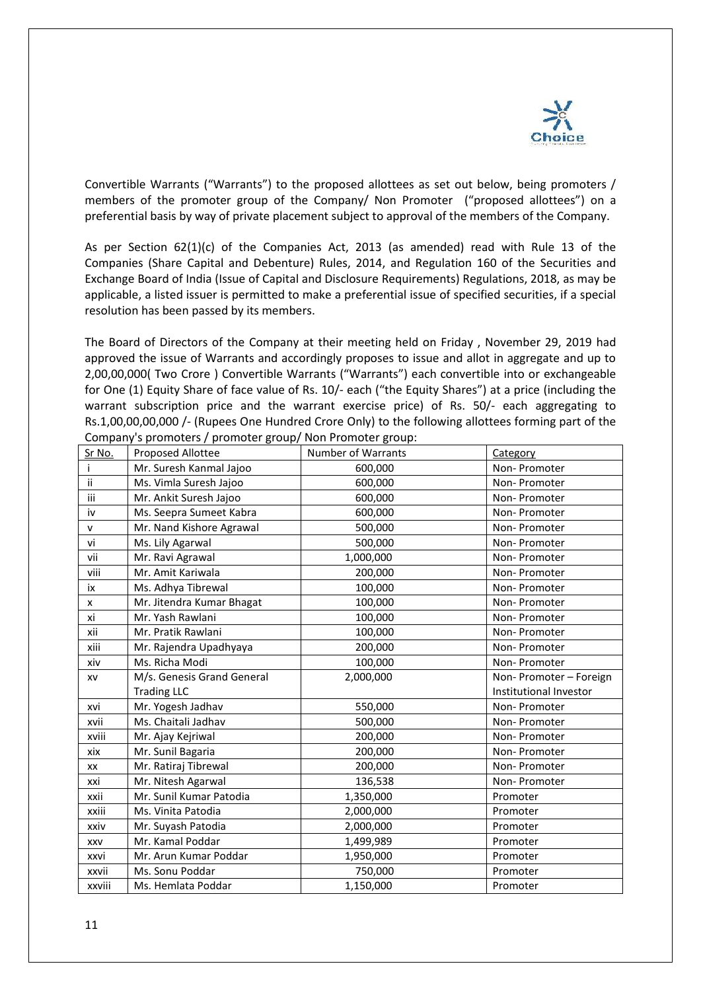

Convertible Warrants ("Warrants") to the proposed allottees as set out below, being promoters / members of the promoter group of the Company/ Non Promoter ("proposed allottees") on a preferential basis by way of private placement subject to approval of the members of the Company.

As per Section 62(1)(c) of the Companies Act, 2013 (as amended) read with Rule 13 of the Companies (Share Capital and Debenture) Rules, 2014, and Regulation 160 of the Securities and Exchange Board of India (Issue of Capital and Disclosure Requirements) Regulations, 2018, as may be applicable, a listed issuer is permitted to make a preferential issue of specified securities, if a special resolution has been passed by its members.

The Board of Directors of the Company at their meeting held on Friday , November 29, 2019 had approved the issue of Warrants and accordingly proposes to issue and allot in aggregate and up to 2,00,00,000( Two Crore ) Convertible Warrants ("Warrants") each convertible into or exchangeable for One (1) Equity Share of face value of Rs. 10/- each ("the Equity Shares") at a price (including the warrant subscription price and the warrant exercise price) of Rs. 50/- each aggregating to Rs.1,00,00,00,000 /- (Rupees One Hundred Crore Only) to the following allottees forming part of the Company's promoters / promoter group/ Non Promoter group:

| Sr No.    | <b>Proposed Allottee</b>   | <b>Number of Warrants</b> | Category               |
|-----------|----------------------------|---------------------------|------------------------|
| Ť         | Mr. Suresh Kanmal Jajoo    | 600,000                   | Non-Promoter           |
| ij        | Ms. Vimla Suresh Jajoo     | 600,000                   | Non-Promoter           |
| iii       | Mr. Ankit Suresh Jajoo     | 600,000                   | Non-Promoter           |
| iv        | Ms. Seepra Sumeet Kabra    | 600,000                   | Non-Promoter           |
| ${\sf v}$ | Mr. Nand Kishore Agrawal   | 500,000                   | Non-Promoter           |
| vi        | Ms. Lily Agarwal           | 500,000                   | Non-Promoter           |
| vii       | Mr. Ravi Agrawal           | 1,000,000                 | Non-Promoter           |
| viii      | Mr. Amit Kariwala          | 200,000                   | Non-Promoter           |
| iх        | Ms. Adhya Tibrewal         | 100,000                   | Non-Promoter           |
| x         | Mr. Jitendra Kumar Bhagat  | 100,000                   | Non-Promoter           |
| xi        | Mr. Yash Rawlani           | 100,000                   | Non-Promoter           |
| xii       | Mr. Pratik Rawlani         | 100,000                   | Non-Promoter           |
| xiii      | Mr. Rajendra Upadhyaya     | 200,000                   | Non-Promoter           |
| xiv       | Ms. Richa Modi             | 100,000                   | Non-Promoter           |
| XV        | M/s. Genesis Grand General | 2,000,000                 | Non-Promoter - Foreign |
|           | <b>Trading LLC</b>         |                           | Institutional Investor |
| xvi       | Mr. Yogesh Jadhav          | 550,000                   | Non-Promoter           |
| xvii      | Ms. Chaitali Jadhav        | 500,000                   | Non-Promoter           |
| xviii     | Mr. Ajay Kejriwal          | 200,000                   | Non-Promoter           |
| xix       | Mr. Sunil Bagaria          | 200,000                   | Non-Promoter           |
| XX        | Mr. Ratiraj Tibrewal       | 200,000                   | Non-Promoter           |
| xxi       | Mr. Nitesh Agarwal         | 136,538                   | Non-Promoter           |
| xxii      | Mr. Sunil Kumar Patodia    | 1,350,000                 | Promoter               |
| xxiii     | Ms. Vinita Patodia         | 2,000,000                 | Promoter               |
| xxiv      | Mr. Suyash Patodia         | 2,000,000                 | Promoter               |
| XXV       | Mr. Kamal Poddar           | 1,499,989                 | Promoter               |
| xxvi      | Mr. Arun Kumar Poddar      | 1,950,000                 | Promoter               |
| xxvii     | Ms. Sonu Poddar            | 750,000                   | Promoter               |
| xxviii    | Ms. Hemlata Poddar         | 1,150,000                 | Promoter               |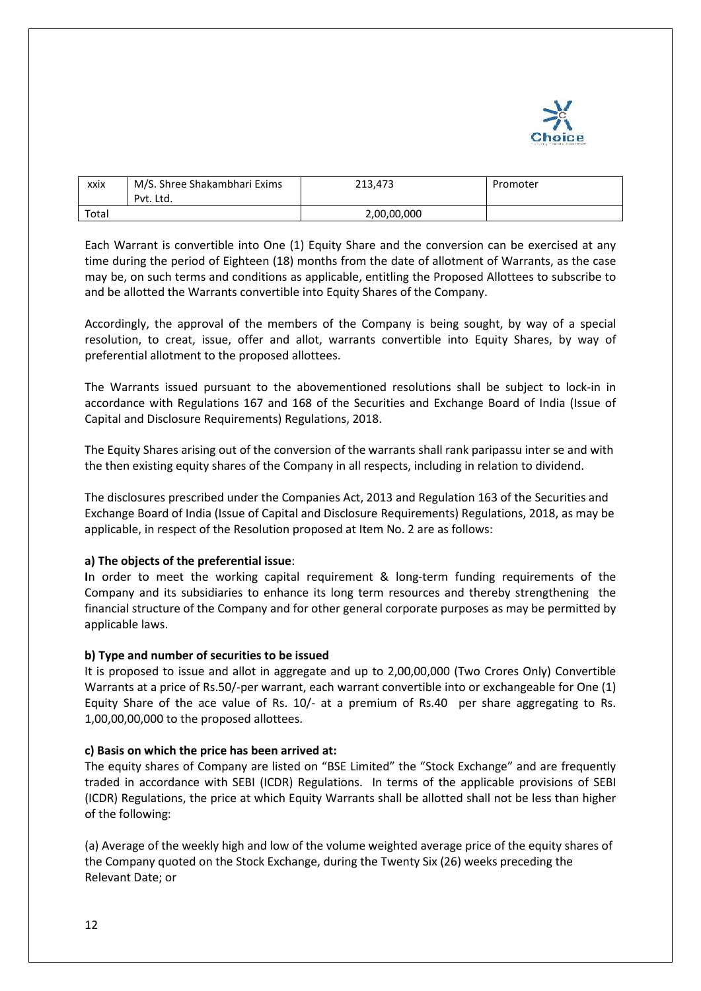

| xxix  | M/S. Shree Shakambhari Exims<br>Pvt. Ltd. | 213.473     | Promoter |
|-------|-------------------------------------------|-------------|----------|
| Total |                                           | 2,00,00,000 |          |

Each Warrant is convertible into One (1) Equity Share and the conversion can be exercised at any time during the period of Eighteen (18) months from the date of allotment of Warrants, as the case may be, on such terms and conditions as applicable, entitling the Proposed Allottees to subscribe to and be allotted the Warrants convertible into Equity Shares of the Company.

Accordingly, the approval of the members of the Company is being sought, by way of a special resolution, to creat, issue, offer and allot, warrants convertible into Equity Shares, by way of preferential allotment to the proposed allottees.

The Warrants issued pursuant to the abovementioned resolutions shall be subject to lock-in in accordance with Regulations 167 and 168 of the Securities and Exchange Board of India (Issue of Capital and Disclosure Requirements) Regulations, 2018.

The Equity Shares arising out of the conversion of the warrants shall rank paripassu inter se and with the then existing equity shares of the Company in all respects, including in relation to dividend.

The disclosures prescribed under the Companies Act, 2013 and Regulation 163 of the Securities and Exchange Board of India (Issue of Capital and Disclosure Requirements) Regulations, 2018, as may be applicable, in respect of the Resolution proposed at Item No. 2 are as follows:

# **a) The objects of the preferential issue**:

**I**n order to meet the working capital requirement & long-term funding requirements of the Company and its subsidiaries to enhance its long term resources and thereby strengthening the financial structure of the Company and for other general corporate purposes as may be permitted by applicable laws.

# **b) Type and number of securities to be issued**

It is proposed to issue and allot in aggregate and up to 2,00,00,000 (Two Crores Only) Convertible Warrants at a price of Rs.50/-per warrant, each warrant convertible into or exchangeable for One (1) Equity Share of the ace value of Rs. 10/- at a premium of Rs.40 per share aggregating to Rs. 1,00,00,00,000 to the proposed allottees.

# **c) Basis on which the price has been arrived at:**

The equity shares of Company are listed on "BSE Limited" the "Stock Exchange" and are frequently traded in accordance with SEBI (ICDR) Regulations. In terms of the applicable provisions of SEBI (ICDR) Regulations, the price at which Equity Warrants shall be allotted shall not be less than higher of the following:

(a) Average of the weekly high and low of the volume weighted average price of the equity shares of the Company quoted on the Stock Exchange, during the Twenty Six (26) weeks preceding the Relevant Date; or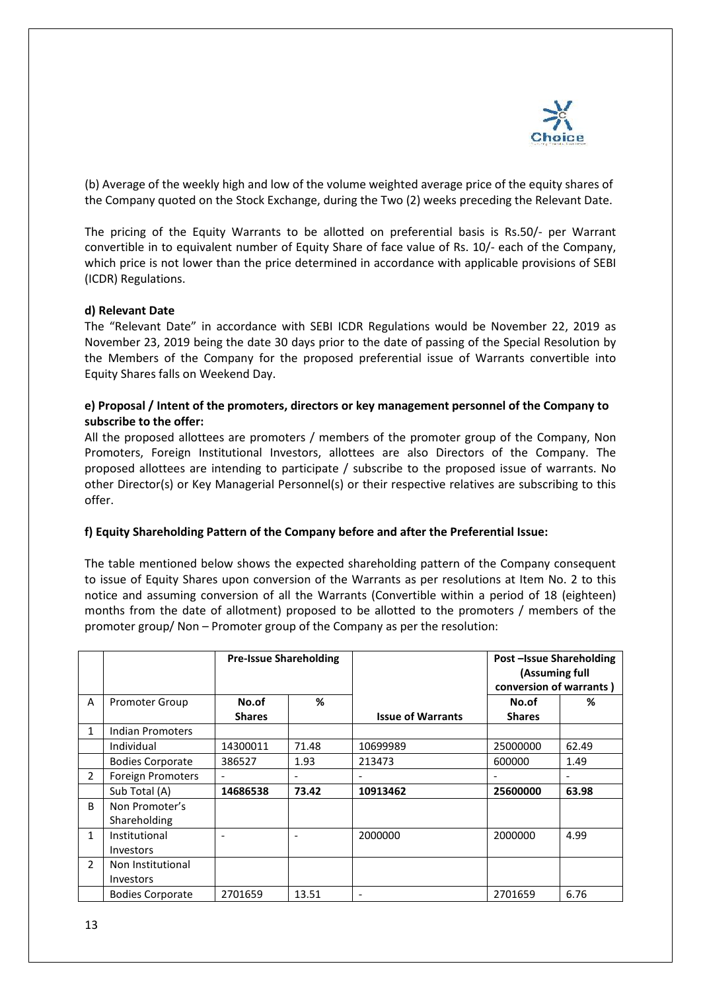

(b) Average of the weekly high and low of the volume weighted average price of the equity shares of the Company quoted on the Stock Exchange, during the Two (2) weeks preceding the Relevant Date.

The pricing of the Equity Warrants to be allotted on preferential basis is Rs.50/- per Warrant convertible in to equivalent number of Equity Share of face value of Rs. 10/- each of the Company, which price is not lower than the price determined in accordance with applicable provisions of SEBI (ICDR) Regulations.

#### **d) Relevant Date**

The "Relevant Date" in accordance with SEBI ICDR Regulations would be November 22, 2019 as November 23, 2019 being the date 30 days prior to the date of passing of the Special Resolution by the Members of the Company for the proposed preferential issue of Warrants convertible into Equity Shares falls on Weekend Day.

# **e) Proposal / Intent of the promoters, directors or key management personnel of the Company to subscribe to the offer:**

All the proposed allottees are promoters / members of the promoter group of the Company, Non Promoters, Foreign Institutional Investors, allottees are also Directors of the Company. The proposed allottees are intending to participate / subscribe to the proposed issue of warrants. No other Director(s) or Key Managerial Personnel(s) or their respective relatives are subscribing to this offer.

# **f) Equity Shareholding Pattern of the Company before and after the Preferential Issue:**

The table mentioned below shows the expected shareholding pattern of the Company consequent to issue of Equity Shares upon conversion of the Warrants as per resolutions at Item No. 2 to this notice and assuming conversion of all the Warrants (Convertible within a period of 18 (eighteen) months from the date of allotment) proposed to be allotted to the promoters / members of the promoter group/ Non – Promoter group of the Company as per the resolution:

|                |                          | <b>Pre-Issue Shareholding</b> |       |                          | <b>Post-Issue Shareholding</b><br>(Assuming full<br>conversion of warrants) |       |
|----------------|--------------------------|-------------------------------|-------|--------------------------|-----------------------------------------------------------------------------|-------|
| A              | <b>Promoter Group</b>    | No.of                         | ℅     |                          | No.of                                                                       | ℅     |
|                |                          | <b>Shares</b>                 |       | <b>Issue of Warrants</b> | <b>Shares</b>                                                               |       |
| $\mathbf{1}$   | Indian Promoters         |                               |       |                          |                                                                             |       |
|                | Individual               | 14300011                      | 71.48 | 10699989                 | 25000000                                                                    | 62.49 |
|                | <b>Bodies Corporate</b>  | 386527                        | 1.93  | 213473                   | 600000                                                                      | 1.49  |
| $\overline{2}$ | <b>Foreign Promoters</b> |                               |       |                          |                                                                             |       |
|                | Sub Total (A)            | 14686538                      | 73.42 | 10913462                 | 25600000                                                                    | 63.98 |
| <sub>B</sub>   | Non Promoter's           |                               |       |                          |                                                                             |       |
|                | Shareholding             |                               |       |                          |                                                                             |       |
| $\mathbf{1}$   | Institutional            |                               |       | 2000000                  | 2000000                                                                     | 4.99  |
|                | <b>Investors</b>         |                               |       |                          |                                                                             |       |
| $\overline{2}$ | Non Institutional        |                               |       |                          |                                                                             |       |
|                | <b>Investors</b>         |                               |       |                          |                                                                             |       |
|                | <b>Bodies Corporate</b>  | 2701659                       | 13.51 |                          | 2701659                                                                     | 6.76  |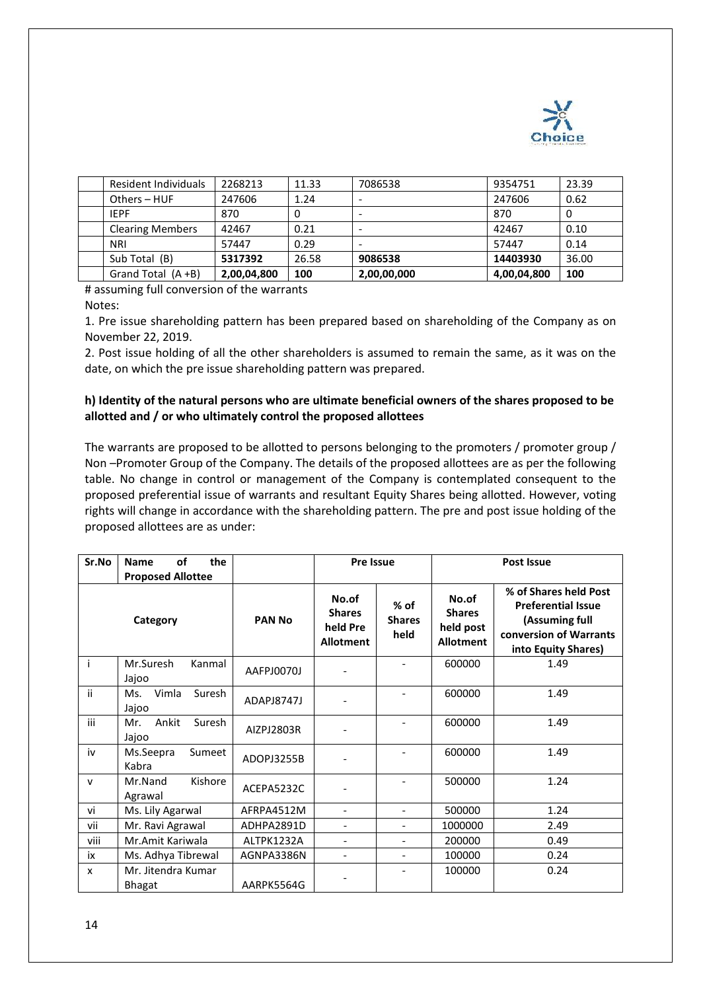

| Resident Individuals    | 2268213     | 11.33 | 7086538     | 9354751     | 23.39 |
|-------------------------|-------------|-------|-------------|-------------|-------|
| Others $-$ HUF          | 247606      | 1.24  |             | 247606      | 0.62  |
| <b>IEPF</b>             | 870         | 0     | -           | 870         | 0     |
| <b>Clearing Members</b> | 42467       | 0.21  |             | 42467       | 0.10  |
| <b>NRI</b>              | 57447       | 0.29  |             | 57447       | 0.14  |
| Sub Total (B)           | 5317392     | 26.58 | 9086538     | 14403930    | 36.00 |
| Grand Total $(A + B)$   | 2,00,04,800 | 100   | 2,00,00,000 | 4,00,04,800 | 100   |

# assuming full conversion of the warrants

Notes:

1. Pre issue shareholding pattern has been prepared based on shareholding of the Company as on November 22, 2019.

2. Post issue holding of all the other shareholders is assumed to remain the same, as it was on the date, on which the pre issue shareholding pattern was prepared.

# **h) Identity of the natural persons who are ultimate beneficial owners of the shares proposed to be allotted and / or who ultimately control the proposed allottees**

The warrants are proposed to be allotted to persons belonging to the promoters / promoter group / Non –Promoter Group of the Company. The details of the proposed allottees are as per the following table. No change in control or management of the Company is contemplated consequent to the proposed preferential issue of warrants and resultant Equity Shares being allotted. However, voting rights will change in accordance with the shareholding pattern. The pre and post issue holding of the proposed allottees are as under:

| Sr.No        | of<br>the<br><b>Name</b>             |               | <b>Pre Issue</b>                                       |                                 | <b>Post Issue</b>                                       |                                                                                                                       |
|--------------|--------------------------------------|---------------|--------------------------------------------------------|---------------------------------|---------------------------------------------------------|-----------------------------------------------------------------------------------------------------------------------|
|              | <b>Proposed Allottee</b><br>Category | <b>PAN No</b> | No.of<br><b>Shares</b><br>held Pre<br><b>Allotment</b> | $%$ of<br><b>Shares</b><br>held | No.of<br><b>Shares</b><br>held post<br><b>Allotment</b> | % of Shares held Post<br><b>Preferential Issue</b><br>(Assuming full<br>conversion of Warrants<br>into Equity Shares) |
| Ť            | Mr.Suresh<br>Kanmal<br>Jajoo         | AAFPJ0070J    |                                                        |                                 | 600000                                                  | 1.49                                                                                                                  |
| ii.          | Vimla<br>Suresh<br>Ms.<br>Jajoo      | ADAPJ8747J    |                                                        |                                 | 600000                                                  | 1.49                                                                                                                  |
| iii          | Ankit<br>Suresh<br>Mr.<br>Jajoo      | AIZPJ2803R    |                                                        |                                 | 600000                                                  | 1.49                                                                                                                  |
| iv           | Ms.Seepra<br>Sumeet<br>Kabra         | ADOPJ3255B    | $\overline{\phantom{0}}$                               |                                 | 600000                                                  | 1.49                                                                                                                  |
| $\mathsf{v}$ | Mr.Nand<br>Kishore<br>Agrawal        | ACEPA5232C    |                                                        |                                 | 500000                                                  | 1.24                                                                                                                  |
| vi           | Ms. Lily Agarwal                     | AFRPA4512M    | $\overline{\phantom{0}}$                               | $\overline{a}$                  | 500000                                                  | 1.24                                                                                                                  |
| vii          | Mr. Ravi Agrawal                     | ADHPA2891D    | $\overline{a}$                                         | $\overline{\phantom{a}}$        | 1000000                                                 | 2.49                                                                                                                  |
| viii         | Mr.Amit Kariwala                     | ALTPK1232A    | $\overline{a}$                                         | $\overline{\phantom{a}}$        | 200000                                                  | 0.49                                                                                                                  |
| iх           | Ms. Adhya Tibrewal                   | AGNPA3386N    | $\overline{a}$                                         | $\blacksquare$                  | 100000                                                  | 0.24                                                                                                                  |
| x            | Mr. Jitendra Kumar<br><b>Bhagat</b>  | AARPK5564G    |                                                        |                                 | 100000                                                  | 0.24                                                                                                                  |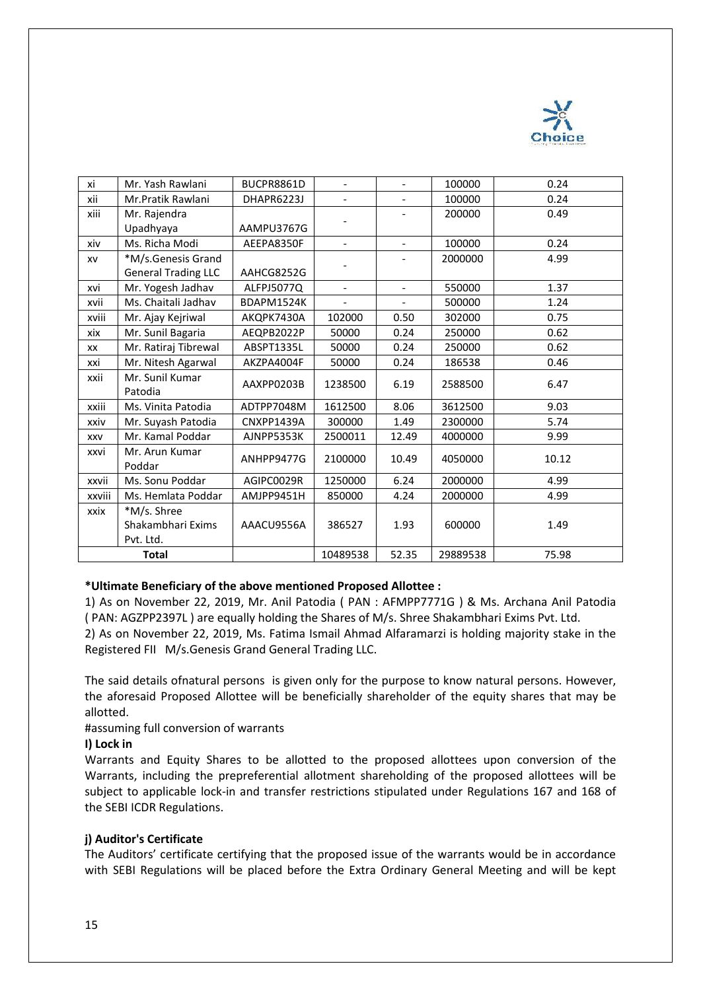

| хi         | Mr. Yash Rawlani           | BUCPR8861D | $\overline{\phantom{0}}$ |                          | 100000   | 0.24  |
|------------|----------------------------|------------|--------------------------|--------------------------|----------|-------|
| xii        | Mr.Pratik Rawlani          | DHAPR6223J | $\overline{\phantom{a}}$ | $\overline{\phantom{0}}$ | 100000   | 0.24  |
| xiii       | Mr. Rajendra               |            |                          |                          | 200000   | 0.49  |
|            | Upadhyaya                  | AAMPU3767G |                          |                          |          |       |
| xiv        | Ms. Richa Modi             | AEEPA8350F | $\overline{\phantom{0}}$ | $\overline{\phantom{0}}$ | 100000   | 0.24  |
| XV         | *M/s.Genesis Grand         |            | $\overline{\phantom{a}}$ |                          | 2000000  | 4.99  |
|            | <b>General Trading LLC</b> | AAHCG8252G |                          |                          |          |       |
| xvi        | Mr. Yogesh Jadhav          | ALFPJ5077Q | $\blacksquare$           | $\overline{a}$           | 550000   | 1.37  |
| xvii       | Ms. Chaitali Jadhav        | BDAPM1524K | $\overline{\phantom{0}}$ | $\overline{\phantom{0}}$ | 500000   | 1.24  |
| xviii      | Mr. Ajay Kejriwal          | AKQPK7430A | 102000                   | 0.50                     | 302000   | 0.75  |
| xix        | Mr. Sunil Bagaria          | AEQPB2022P | 50000                    | 0.24                     | 250000   | 0.62  |
| XX         | Mr. Ratiraj Tibrewal       | ABSPT1335L | 50000                    | 0.24                     | 250000   | 0.62  |
| xxi        | Mr. Nitesh Agarwal         | AKZPA4004F | 50000                    | 0.24                     | 186538   | 0.46  |
| xxii       | Mr. Sunil Kumar<br>Patodia | AAXPP0203B | 1238500                  | 6.19                     | 2588500  | 6.47  |
| xxiii      | Ms. Vinita Patodia         | ADTPP7048M | 1612500                  | 8.06                     | 3612500  | 9.03  |
| xxiv       | Mr. Suyash Patodia         | CNXPP1439A | 300000                   | 1.49                     | 2300000  | 5.74  |
| <b>XXV</b> | Mr. Kamal Poddar           | AJNPP5353K | 2500011                  | 12.49                    | 4000000  | 9.99  |
| xxvi       | Mr. Arun Kumar<br>Poddar   | ANHPP9477G | 2100000                  | 10.49                    | 4050000  | 10.12 |
| xxvii      | Ms. Sonu Poddar            | AGIPC0029R | 1250000                  | 6.24                     | 2000000  | 4.99  |
| xxviii     | Ms. Hemlata Poddar         | AMJPP9451H | 850000                   | 4.24                     | 2000000  | 4.99  |
| xxix       | *M/s. Shree                |            |                          |                          |          |       |
|            | Shakambhari Exims          | AAACU9556A | 386527                   | 1.93                     | 600000   | 1.49  |
|            | Pvt. Ltd.                  |            |                          |                          |          |       |
|            | <b>Total</b>               |            | 10489538                 | 52.35                    | 29889538 | 75.98 |

# **\*Ultimate Beneficiary of the above mentioned Proposed Allottee :**

1) As on November 22, 2019, Mr. Anil Patodia ( PAN : AFMPP7771G ) & Ms. Archana Anil Patodia ( PAN: AGZPP2397L ) are equally holding the Shares of M/s. Shree Shakambhari Exims Pvt. Ltd. 2) As on November 22, 2019, Ms. Fatima Ismail Ahmad Alfaramarzi is holding majority stake in the Registered FII M/s.Genesis Grand General Trading LLC.

The said details ofnatural persons is given only for the purpose to know natural persons. However, the aforesaid Proposed Allottee will be beneficially shareholder of the equity shares that may be allotted.

#assuming full conversion of warrants

# **I) Lock in**

Warrants and Equity Shares to be allotted to the proposed allottees upon conversion of the Warrants, including the prepreferential allotment shareholding of the proposed allottees will be subject to applicable lock-in and transfer restrictions stipulated under Regulations 167 and 168 of the SEBI ICDR Regulations.

# **j) Auditor's Certificate**

The Auditors' certificate certifying that the proposed issue of the warrants would be in accordance with SEBI Regulations will be placed before the Extra Ordinary General Meeting and will be kept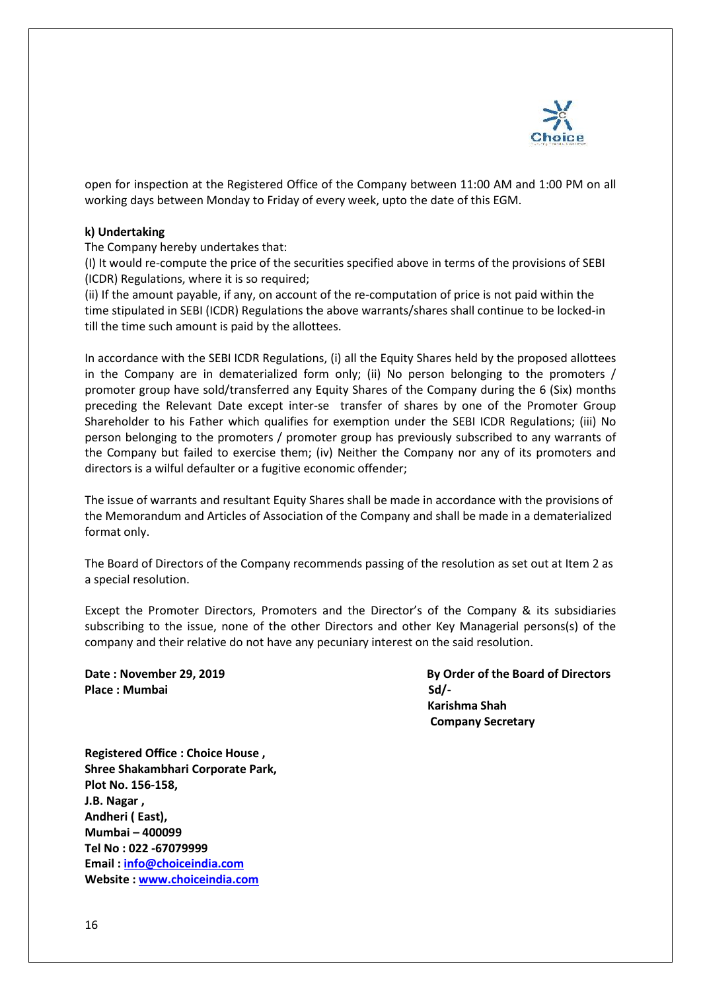

open for inspection at the Registered Office of the Company between 11:00 AM and 1:00 PM on all working days between Monday to Friday of every week, upto the date of this EGM.

# **k) Undertaking**

The Company hereby undertakes that:

(I) It would re-compute the price of the securities specified above in terms of the provisions of SEBI (ICDR) Regulations, where it is so required;

(ii) If the amount payable, if any, on account of the re-computation of price is not paid within the time stipulated in SEBI (ICDR) Regulations the above warrants/shares shall continue to be locked-in till the time such amount is paid by the allottees.

In accordance with the SEBI ICDR Regulations, (i) all the Equity Shares held by the proposed allottees in the Company are in dematerialized form only; (ii) No person belonging to the promoters / promoter group have sold/transferred any Equity Shares of the Company during the 6 (Six) months preceding the Relevant Date except inter-se transfer of shares by one of the Promoter Group Shareholder to his Father which qualifies for exemption under the SEBI ICDR Regulations; (iii) No person belonging to the promoters / promoter group has previously subscribed to any warrants of the Company but failed to exercise them; (iv) Neither the Company nor any of its promoters and directors is a wilful defaulter or a fugitive economic offender;

The issue of warrants and resultant Equity Shares shall be made in accordance with the provisions of the Memorandum and Articles of Association of the Company and shall be made in a dematerialized format only.

The Board of Directors of the Company recommends passing of the resolution as set out at Item 2 as a special resolution.

Except the Promoter Directors, Promoters and the Director's of the Company & its subsidiaries subscribing to the issue, none of the other Directors and other Key Managerial persons(s) of the company and their relative do not have any pecuniary interest on the said resolution.

Place : Mumbai Sd/-

**Date : November 29, 2019 By Order of the Board of Directors Karishma Shah Company Secretary** 

**Registered Office : Choice House , Shree Shakambhari Corporate Park, Plot No. 156-158, J.B. Nagar , Andheri ( East), Mumbai – 400099 Tel No : 022 -67079999 Email : [info@choiceindia.com](mailto:info@choiceindia.com) Website : [www.choiceindia.com](http://www.choiceindia.com/)**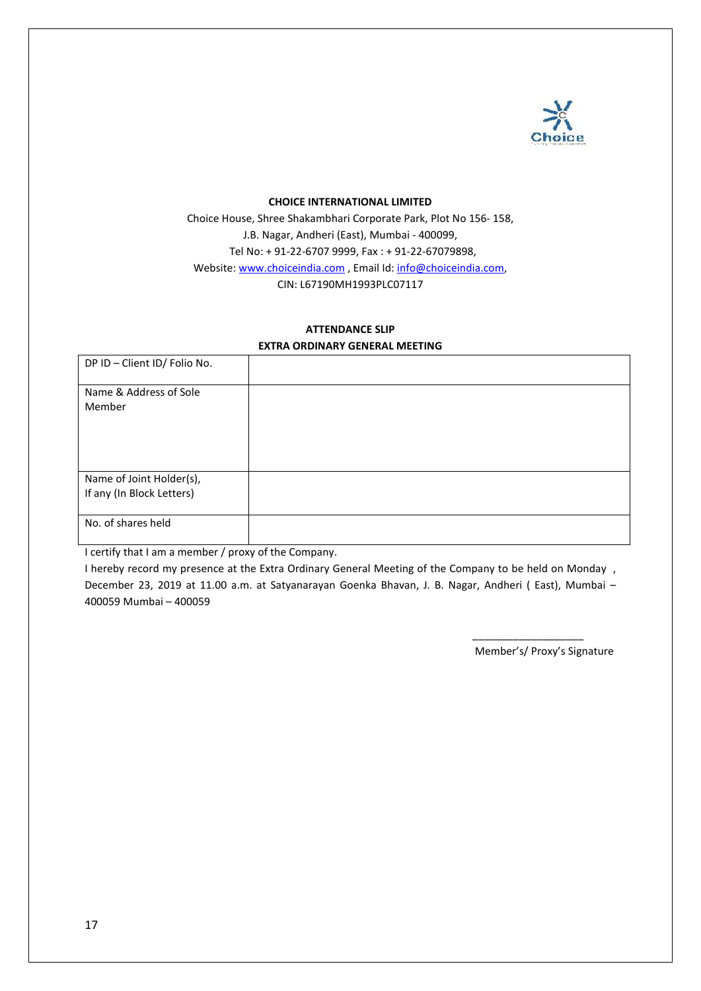

#### **CHOICE INTERNATIONAL LIMITED**

Choice House, Shree Shakambhari Corporate Park, Plot No 156- 158, J.B. Nagar, Andheri (East), Mumbai - 400099, Tel No: + 91-22-6707 9999, Fax : + 91-22-67079898, Website: [www.choiceindia.com](http://www.choiceindia.com/), Email Id: info@choiceindia.com, CIN: L67190MH1993PLC07117

# **ATTENDANCE SLIP**

# **EXTRA ORDINARY GENERAL MEETING**

| DP ID - Client ID/ Folio No. |  |
|------------------------------|--|
| Name & Address of Sole       |  |
| Member                       |  |
|                              |  |
|                              |  |
| Name of Joint Holder(s),     |  |
| If any (In Block Letters)    |  |
|                              |  |
| No. of shares held           |  |
|                              |  |

I certify that I am a member / proxy of the Company.

I hereby record my presence at the Extra Ordinary General Meeting of the Company to be held on Monday , December 23, 2019 at 11.00 a.m. at Satyanarayan Goenka Bhavan, J. B. Nagar, Andheri ( East), Mumbai – 400059 Mumbai – 400059

Member's/ Proxy's Signature

\_\_\_\_\_\_\_\_\_\_\_\_\_\_\_\_\_\_\_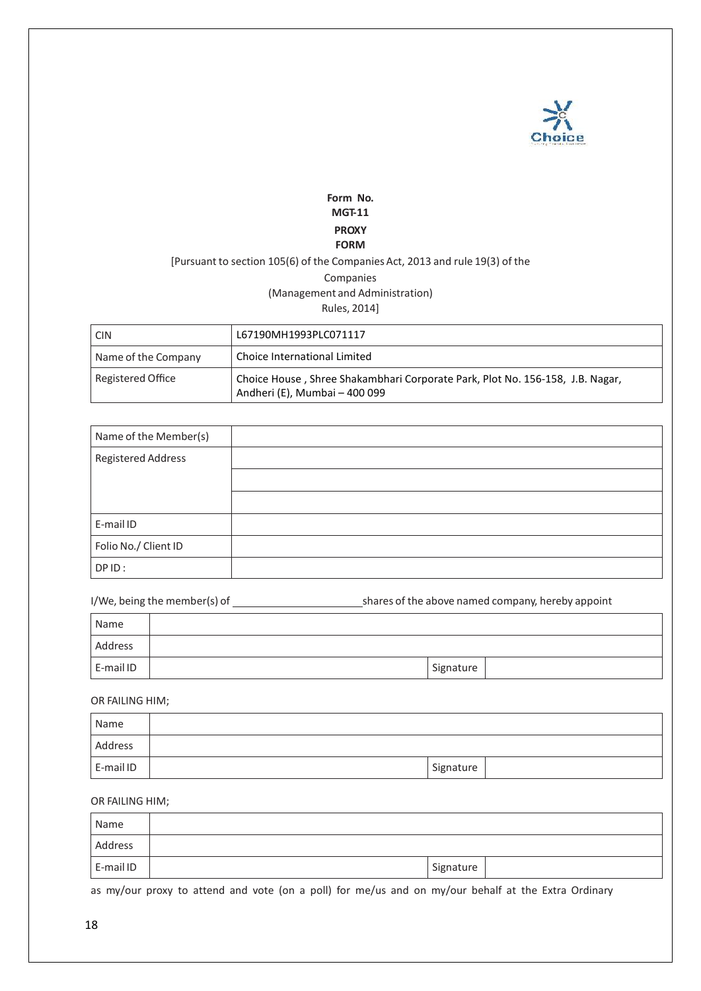

# **Form No. MGT-11 PROXY FORM**

# [Pursuant to section 105(6) of the Companies Act, 2013 and rule 19(3) of the Companies (Management and Administration) Rules, 2014]

| <b>CIN</b>          | L67190MH1993PLC071117                                                                                          |
|---------------------|----------------------------------------------------------------------------------------------------------------|
| Name of the Company | Choice International Limited                                                                                   |
| Registered Office   | Choice House, Shree Shakambhari Corporate Park, Plot No. 156-158, J.B. Nagar,<br>Andheri (E), Mumbai - 400 099 |

| Name of the Member(s)     |  |
|---------------------------|--|
| <b>Registered Address</b> |  |
|                           |  |
|                           |  |
| E-mail ID                 |  |
| Folio No./ Client ID      |  |
| DPID:                     |  |

| I/We, being the member(s) of | shares of the above named company, hereby appoint |
|------------------------------|---------------------------------------------------|
|------------------------------|---------------------------------------------------|

| Name      |           |  |
|-----------|-----------|--|
| Address   |           |  |
| E-mail ID | Signature |  |

OR FAILING HIM;

| Name      |           |  |
|-----------|-----------|--|
| Address   |           |  |
| E-mail ID | Signature |  |

#### OR FAILING HIM;

| Name      |           |  |
|-----------|-----------|--|
| Address   |           |  |
| E-mail ID | Signature |  |

as my/our proxy to attend and vote (on a poll) for me/us and on my/our behalf at the Extra Ordinary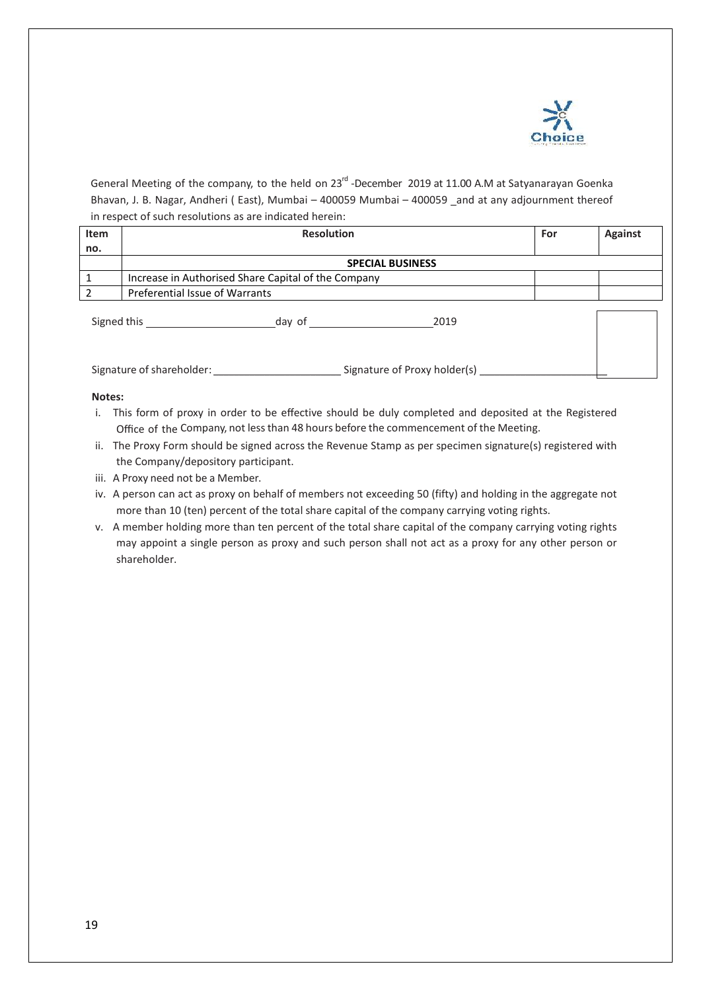

General Meeting of the company, to the held on 23<sup>rd</sup> -December 2019 at 11.00 A.M at Satyanarayan Goenka Bhavan, J. B. Nagar, Andheri (East), Mumbai – 400059 Mumbai – 400059 and at any adjournment thereof in respect of such resolutions as are indicated herein:

| Item |                                                     | <b>Resolution</b> |      | For | <b>Against</b> |
|------|-----------------------------------------------------|-------------------|------|-----|----------------|
| no.  |                                                     |                   |      |     |                |
|      | <b>SPECIAL BUSINESS</b>                             |                   |      |     |                |
|      | Increase in Authorised Share Capital of the Company |                   |      |     |                |
|      | Preferential Issue of Warrants                      |                   |      |     |                |
|      | Signed this                                         | day of            | 2019 |     |                |

Signature of shareholder: <br>
Signature of Proxy holder(s)

#### **Notes:**

- i. This form of proxy in order to be effective should be duly completed and deposited at the Registered Office of the Company, not lessthan 48 hours before the commencement of the Meeting.
- ii. The Proxy Form should be signed across the Revenue Stamp as per specimen signature(s) registered with the Company/depository participant.
- iii. A Proxy need not be a Member.
- iv. A person can act as proxy on behalf of members not exceeding 50 (fifty) and holding in the aggregate not more than 10 (ten) percent of the total share capital of the company carrying voting rights.
- v. A member holding more than ten percent of the total share capital of the company carrying voting rights may appoint a single person as proxy and such person shall not act as a proxy for any other person or shareholder.